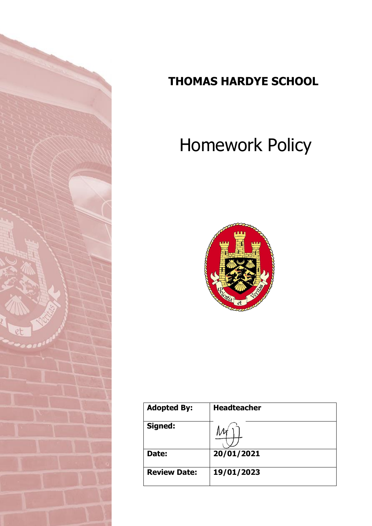

# **THOMAS HARDYE SCHOOL**

# Homework Policy



| <b>Adopted By:</b>  | <b>Headteacher</b> |
|---------------------|--------------------|
| Signed:             |                    |
| Date:               | 20/01/2021         |
| <b>Review Date:</b> | 19/01/2023         |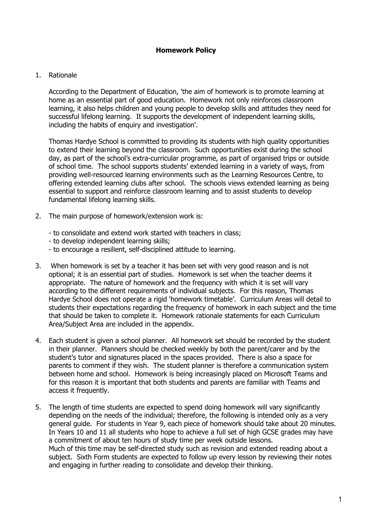#### 1. Rationale

According to the Department of Education, 'the aim of homework is to promote learning at home as an essential part of good education. Homework not only reinforces classroom learning, it also helps children and young people to develop skills and attitudes they need for successful lifelong learning. It supports the development of independent learning skills, including the habits of enquiry and investigation'.

Thomas Hardye School is committed to providing its students with high quality opportunities to extend their learning beyond the classroom. Such opportunities exist during the school day, as part of the school's extra-curricular programme, as part of organised trips or outside of school time. The school supports students' extended learning in a variety of ways, from providing well-resourced learning environments such as the Learning Resources Centre, to offering extended learning clubs after school. The schools views extended learning as being essential to support and reinforce classroom learning and to assist students to develop fundamental lifelong learning skills.

- 2. The main purpose of homework/extension work is:
	- to consolidate and extend work started with teachers in class;
	- to develop independent learning skills;
	- to encourage a resilient, self-disciplined attitude to learning.
- 3. When homework is set by a teacher it has been set with very good reason and is not optional; it is an essential part of studies. Homework is set when the teacher deems it appropriate. The nature of homework and the frequency with which it is set will vary according to the different requirements of individual subjects. For this reason, Thomas Hardye School does not operate a rigid 'homework timetable'. Curriculum Areas will detail to students their expectations regarding the frequency of homework in each subject and the time that should be taken to complete it. Homework rationale statements for each Curriculum Area/Subject Area are included in the appendix.
- 4. Each student is given a school planner. All homework set should be recorded by the student in their planner. Planners should be checked weekly by both the parent/carer and by the student's tutor and signatures placed in the spaces provided. There is also a space for parents to comment if they wish. The student planner is therefore a communication system between home and school. Homework is being increasingly placed on Microsoft Teams and for this reason it is important that both students and parents are familiar with Teams and access it frequently.
- 5. The length of time students are expected to spend doing homework will vary significantly depending on the needs of the individual; therefore, the following is intended only as a very general guide. For students in Year 9, each piece of homework should take about 20 minutes. In Years 10 and 11 all students who hope to achieve a full set of high GCSE grades may have a commitment of about ten hours of study time per week outside lessons. Much of this time may be self-directed study such as revision and extended reading about a subject. Sixth Form students are expected to follow up every lesson by reviewing their notes and engaging in further reading to consolidate and develop their thinking.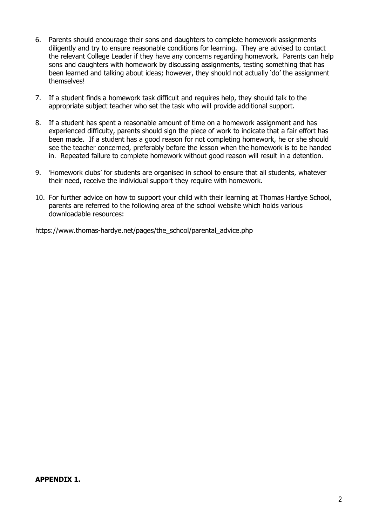- 6. Parents should encourage their sons and daughters to complete homework assignments diligently and try to ensure reasonable conditions for learning. They are advised to contact the relevant College Leader if they have any concerns regarding homework. Parents can help sons and daughters with homework by discussing assignments, testing something that has been learned and talking about ideas; however, they should not actually 'do' the assignment themselves!
- 7. If a student finds a homework task difficult and requires help, they should talk to the appropriate subject teacher who set the task who will provide additional support.
- 8. If a student has spent a reasonable amount of time on a homework assignment and has experienced difficulty, parents should sign the piece of work to indicate that a fair effort has been made. If a student has a good reason for not completing homework, he or she should see the teacher concerned, preferably before the lesson when the homework is to be handed in. Repeated failure to complete homework without good reason will result in a detention.
- 9. 'Homework clubs' for students are organised in school to ensure that all students, whatever their need, receive the individual support they require with homework.
- 10. For further advice on how to support your child with their learning at Thomas Hardye School, parents are referred to the following area of the school website which holds various downloadable resources:

https://www.thomas-hardye.net/pages/the\_school/parental\_advice.php

# **APPENDIX 1.**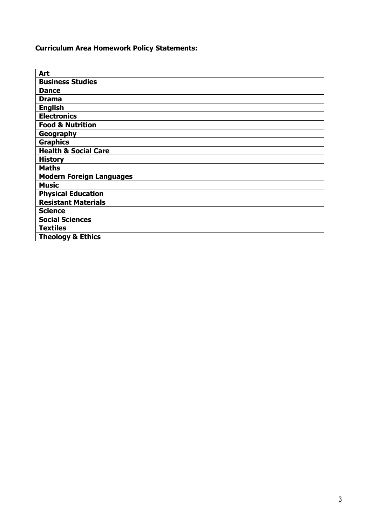**Curriculum Area Homework Policy Statements:**

| Art                             |
|---------------------------------|
| <b>Business Studies</b>         |
| <b>Dance</b>                    |
| <b>Drama</b>                    |
| <b>English</b>                  |
| <b>Electronics</b>              |
| <b>Food &amp; Nutrition</b>     |
| Geography                       |
| <b>Graphics</b>                 |
| <b>Health &amp; Social Care</b> |
| <b>History</b>                  |
| <b>Maths</b>                    |
| <b>Modern Foreign Languages</b> |
| <b>Music</b>                    |
| <b>Physical Education</b>       |
| <b>Resistant Materials</b>      |
| <b>Science</b>                  |
| <b>Social Sciences</b>          |
| <b>Textiles</b>                 |
| <b>Theology &amp; Ethics</b>    |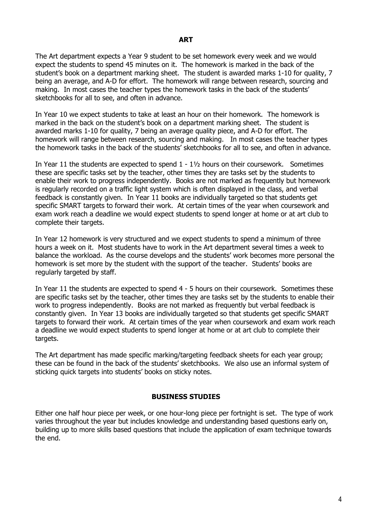The Art department expects a Year 9 student to be set homework every week and we would expect the students to spend 45 minutes on it. The homework is marked in the back of the student's book on a department marking sheet. The student is awarded marks 1-10 for quality, 7 being an average, and A-D for effort. The homework will range between research, sourcing and making. In most cases the teacher types the homework tasks in the back of the students' sketchbooks for all to see, and often in advance.

In Year 10 we expect students to take at least an hour on their homework. The homework is marked in the back on the student's book on a department marking sheet. The student is awarded marks 1-10 for quality, 7 being an average quality piece, and A-D for effort. The homework will range between research, sourcing and making. In most cases the teacher types the homework tasks in the back of the students' sketchbooks for all to see, and often in advance.

In Year 11 the students are expected to spend  $1 - 1\frac{1}{2}$  hours on their coursework. Sometimes these are specific tasks set by the teacher, other times they are tasks set by the students to enable their work to progress independently. Books are not marked as frequently but homework is regularly recorded on a traffic light system which is often displayed in the class, and verbal feedback is constantly given. In Year 11 books are individually targeted so that students get specific SMART targets to forward their work. At certain times of the year when coursework and exam work reach a deadline we would expect students to spend longer at home or at art club to complete their targets.

In Year 12 homework is very structured and we expect students to spend a minimum of three hours a week on it. Most students have to work in the Art department several times a week to balance the workload. As the course develops and the students' work becomes more personal the homework is set more by the student with the support of the teacher. Students' books are regularly targeted by staff.

In Year 11 the students are expected to spend 4 - 5 hours on their coursework. Sometimes these are specific tasks set by the teacher, other times they are tasks set by the students to enable their work to progress independently. Books are not marked as frequently but verbal feedback is constantly given. In Year 13 books are individually targeted so that students get specific SMART targets to forward their work. At certain times of the year when coursework and exam work reach a deadline we would expect students to spend longer at home or at art club to complete their targets.

The Art department has made specific marking/targeting feedback sheets for each year group; these can be found in the back of the students' sketchbooks. We also use an informal system of sticking quick targets into students' books on sticky notes.

# **BUSINESS STUDIES**

Either one half hour piece per week, or one hour-long piece per fortnight is set. The type of work varies throughout the year but includes knowledge and understanding based questions early on, building up to more skills based questions that include the application of exam technique towards the end.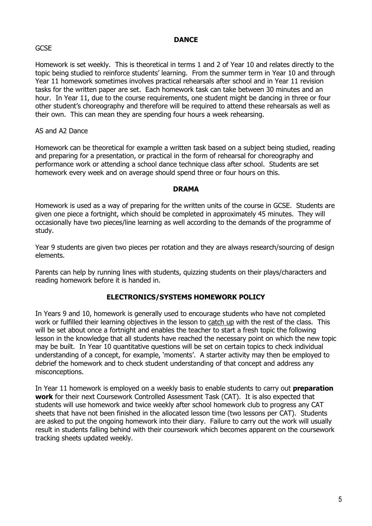#### **DANCE**

#### **GCSF**

Homework is set weekly. This is theoretical in terms 1 and 2 of Year 10 and relates directly to the topic being studied to reinforce students' learning. From the summer term in Year 10 and through Year 11 homework sometimes involves practical rehearsals after school and in Year 11 revision tasks for the written paper are set. Each homework task can take between 30 minutes and an hour. In Year 11, due to the course requirements, one student might be dancing in three or four other student's choreography and therefore will be required to attend these rehearsals as well as their own. This can mean they are spending four hours a week rehearsing.

#### AS and A2 Dance

Homework can be theoretical for example a written task based on a subject being studied, reading and preparing for a presentation, or practical in the form of rehearsal for choreography and performance work or attending a school dance technique class after school. Students are set homework every week and on average should spend three or four hours on this.

#### **DRAMA**

Homework is used as a way of preparing for the written units of the course in GCSE. Students are given one piece a fortnight, which should be completed in approximately 45 minutes. They will occasionally have two pieces/line learning as well according to the demands of the programme of study.

Year 9 students are given two pieces per rotation and they are always research/sourcing of design elements.

Parents can help by running lines with students, quizzing students on their plays/characters and reading homework before it is handed in.

#### **ELECTRONICS/SYSTEMS HOMEWORK POLICY**

In Years 9 and 10, homework is generally used to encourage students who have not completed work or fulfilled their learning objectives in the lesson to catch up with the rest of the class. This will be set about once a fortnight and enables the teacher to start a fresh topic the following lesson in the knowledge that all students have reached the necessary point on which the new topic may be built. In Year 10 quantitative questions will be set on certain topics to check individual understanding of a concept, for example, 'moments'. A starter activity may then be employed to debrief the homework and to check student understanding of that concept and address any misconceptions.

In Year 11 homework is employed on a weekly basis to enable students to carry out **preparation work** for their next Coursework Controlled Assessment Task (CAT). It is also expected that students will use homework and twice weekly after school homework club to progress any CAT sheets that have not been finished in the allocated lesson time (two lessons per CAT). Students are asked to put the ongoing homework into their diary. Failure to carry out the work will usually result in students falling behind with their coursework which becomes apparent on the coursework tracking sheets updated weekly.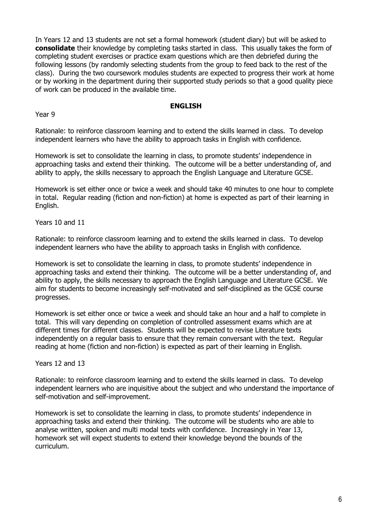In Years 12 and 13 students are not set a formal homework (student diary) but will be asked to **consolidate** their knowledge by completing tasks started in class. This usually takes the form of completing student exercises or practice exam questions which are then debriefed during the following lessons (by randomly selecting students from the group to feed back to the rest of the class). During the two coursework modules students are expected to progress their work at home or by working in the department during their supported study periods so that a good quality piece of work can be produced in the available time.

#### **ENGLISH**

Year 9

Rationale: to reinforce classroom learning and to extend the skills learned in class. To develop independent learners who have the ability to approach tasks in English with confidence.

Homework is set to consolidate the learning in class, to promote students' independence in approaching tasks and extend their thinking. The outcome will be a better understanding of, and ability to apply, the skills necessary to approach the English Language and Literature GCSE.

Homework is set either once or twice a week and should take 40 minutes to one hour to complete in total. Regular reading (fiction and non-fiction) at home is expected as part of their learning in English.

Years 10 and 11

Rationale: to reinforce classroom learning and to extend the skills learned in class. To develop independent learners who have the ability to approach tasks in English with confidence.

Homework is set to consolidate the learning in class, to promote students' independence in approaching tasks and extend their thinking. The outcome will be a better understanding of, and ability to apply, the skills necessary to approach the English Language and Literature GCSE. We aim for students to become increasingly self-motivated and self-disciplined as the GCSE course progresses.

Homework is set either once or twice a week and should take an hour and a half to complete in total. This will vary depending on completion of controlled assessment exams which are at different times for different classes. Students will be expected to revise Literature texts independently on a regular basis to ensure that they remain conversant with the text. Regular reading at home (fiction and non-fiction) is expected as part of their learning in English.

Years 12 and 13

Rationale: to reinforce classroom learning and to extend the skills learned in class. To develop independent learners who are inquisitive about the subject and who understand the importance of self-motivation and self-improvement.

Homework is set to consolidate the learning in class, to promote students' independence in approaching tasks and extend their thinking. The outcome will be students who are able to analyse written, spoken and multi modal texts with confidence. Increasingly in Year 13, homework set will expect students to extend their knowledge beyond the bounds of the curriculum.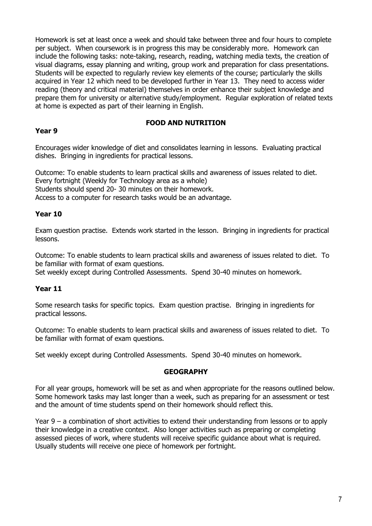Homework is set at least once a week and should take between three and four hours to complete per subject. When coursework is in progress this may be considerably more. Homework can include the following tasks: note-taking, research, reading, watching media texts, the creation of visual diagrams, essay planning and writing, group work and preparation for class presentations. Students will be expected to regularly review key elements of the course; particularly the skills acquired in Year 12 which need to be developed further in Year 13. They need to access wider reading (theory and critical material) themselves in order enhance their subject knowledge and prepare them for university or alternative study/employment. Regular exploration of related texts at home is expected as part of their learning in English.

# **FOOD AND NUTRITION**

# **Year 9**

Encourages wider knowledge of diet and consolidates learning in lessons. Evaluating practical dishes. Bringing in ingredients for practical lessons.

Outcome: To enable students to learn practical skills and awareness of issues related to diet. Every fortnight (Weekly for Technology area as a whole) Students should spend 20- 30 minutes on their homework. Access to a computer for research tasks would be an advantage.

# **Year 10**

Exam question practise. Extends work started in the lesson. Bringing in ingredients for practical lessons.

Outcome: To enable students to learn practical skills and awareness of issues related to diet. To be familiar with format of exam questions.

Set weekly except during Controlled Assessments. Spend 30-40 minutes on homework.

# **Year 11**

Some research tasks for specific topics. Exam question practise. Bringing in ingredients for practical lessons.

Outcome: To enable students to learn practical skills and awareness of issues related to diet. To be familiar with format of exam questions.

Set weekly except during Controlled Assessments. Spend 30-40 minutes on homework.

# **GEOGRAPHY**

For all year groups, homework will be set as and when appropriate for the reasons outlined below. Some homework tasks may last longer than a week, such as preparing for an assessment or test and the amount of time students spend on their homework should reflect this.

Year 9 – a combination of short activities to extend their understanding from lessons or to apply their knowledge in a creative context. Also longer activities such as preparing or completing assessed pieces of work, where students will receive specific guidance about what is required. Usually students will receive one piece of homework per fortnight.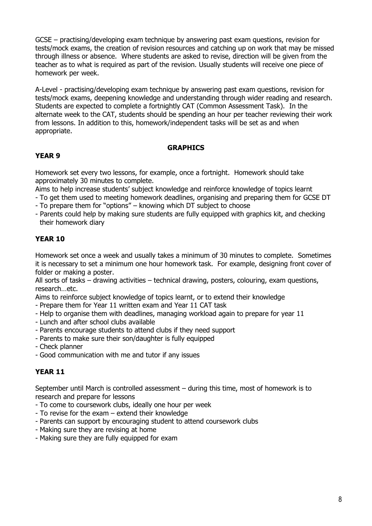GCSE – practising/developing exam technique by answering past exam questions, revision for tests/mock exams, the creation of revision resources and catching up on work that may be missed through illness or absence. Where students are asked to revise, direction will be given from the teacher as to what is required as part of the revision. Usually students will receive one piece of homework per week.

A-Level - practising/developing exam technique by answering past exam questions, revision for tests/mock exams, deepening knowledge and understanding through wider reading and research. Students are expected to complete a fortnightly CAT (Common Assessment Task). In the alternate week to the CAT, students should be spending an hour per teacher reviewing their work from lessons. In addition to this, homework/independent tasks will be set as and when appropriate.

# **GRAPHICS**

# **YEAR 9**

Homework set every two lessons, for example, once a fortnight. Homework should take approximately 30 minutes to complete.

Aims to help increase students' subject knowledge and reinforce knowledge of topics learnt

- To get them used to meeting homework deadlines, organising and preparing them for GCSE DT
- To prepare them for "options" knowing which DT subject to choose
- Parents could help by making sure students are fully equipped with graphics kit, and checking their homework diary

# **YEAR 10**

Homework set once a week and usually takes a minimum of 30 minutes to complete. Sometimes it is necessary to set a minimum one hour homework task. For example, designing front cover of folder or making a poster.

All sorts of tasks – drawing activities – technical drawing, posters, colouring, exam questions, research…etc.

Aims to reinforce subject knowledge of topics learnt, or to extend their knowledge

- Prepare them for Year 11 written exam and Year 11 CAT task
- Help to organise them with deadlines, managing workload again to prepare for year 11
- Lunch and after school clubs available
- Parents encourage students to attend clubs if they need support
- Parents to make sure their son/daughter is fully equipped
- Check planner
- Good communication with me and tutor if any issues

# **YEAR 11**

September until March is controlled assessment – during this time, most of homework is to research and prepare for lessons

- To come to coursework clubs, ideally one hour per week
- To revise for the exam extend their knowledge
- Parents can support by encouraging student to attend coursework clubs
- Making sure they are revising at home
- Making sure they are fully equipped for exam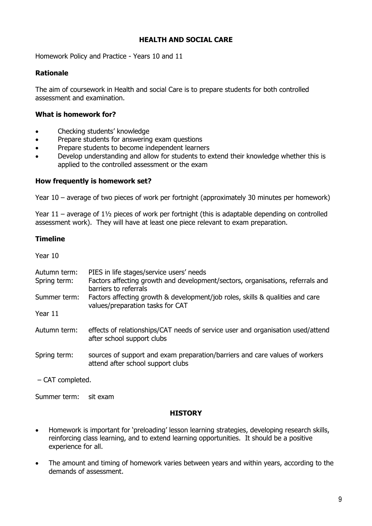#### **HEALTH AND SOCIAL CARE**

Homework Policy and Practice - Years 10 and 11

#### **Rationale**

The aim of coursework in Health and social Care is to prepare students for both controlled assessment and examination.

#### **What is homework for?**

- Checking students' knowledge
- Prepare students for answering exam questions
- Prepare students to become independent learners
- Develop understanding and allow for students to extend their knowledge whether this is applied to the controlled assessment or the exam

#### **How frequently is homework set?**

Year 10 – average of two pieces of work per fortnight (approximately 30 minutes per homework)

Year 11 – average of 1½ pieces of work per fortnight (this is adaptable depending on controlled assessment work). They will have at least one piece relevant to exam preparation.

#### **Timeline**

Year 10

| Autumn term:<br>Spring term: | PIES in life stages/service users' needs<br>Factors affecting growth and development/sectors, organisations, referrals and<br>barriers to referrals |
|------------------------------|-----------------------------------------------------------------------------------------------------------------------------------------------------|
| Summer term:                 | Factors affecting growth & development/job roles, skills & qualities and care<br>values/preparation tasks for CAT                                   |
| Year 11                      |                                                                                                                                                     |
| Autumn term:                 | effects of relationships/CAT needs of service user and organisation used/attend<br>after school support clubs                                       |
| Spring term:                 | sources of support and exam preparation/barriers and care values of workers<br>attend after school support clubs                                    |
| $-$ CAT completed.           |                                                                                                                                                     |

Summer term: sit exam

#### **HISTORY**

- Homework is important for 'preloading' lesson learning strategies, developing research skills, reinforcing class learning, and to extend learning opportunities. It should be a positive experience for all.
- The amount and timing of homework varies between years and within years, according to the demands of assessment.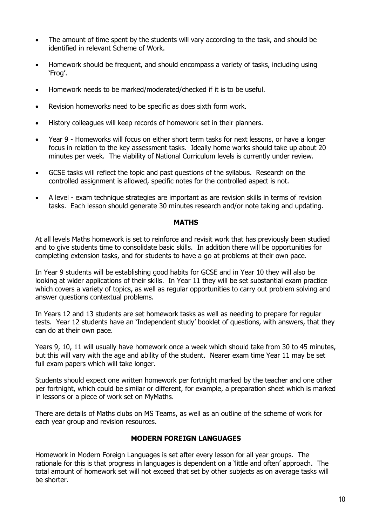- The amount of time spent by the students will vary according to the task, and should be identified in relevant Scheme of Work.
- Homework should be frequent, and should encompass a variety of tasks, including using 'Frog'.
- Homework needs to be marked/moderated/checked if it is to be useful.
- Revision homeworks need to be specific as does sixth form work.
- History colleagues will keep records of homework set in their planners.
- Year 9 Homeworks will focus on either short term tasks for next lessons, or have a longer focus in relation to the key assessment tasks. Ideally home works should take up about 20 minutes per week. The viability of National Curriculum levels is currently under review.
- GCSE tasks will reflect the topic and past questions of the syllabus. Research on the controlled assignment is allowed, specific notes for the controlled aspect is not.
- A level exam technique strategies are important as are revision skills in terms of revision tasks. Each lesson should generate 30 minutes research and/or note taking and updating.

#### **MATHS**

At all levels Maths homework is set to reinforce and revisit work that has previously been studied and to give students time to consolidate basic skills. In addition there will be opportunities for completing extension tasks, and for students to have a go at problems at their own pace.

In Year 9 students will be establishing good habits for GCSE and in Year 10 they will also be looking at wider applications of their skills. In Year 11 they will be set substantial exam practice which covers a variety of topics, as well as regular opportunities to carry out problem solving and answer questions contextual problems.

In Years 12 and 13 students are set homework tasks as well as needing to prepare for regular tests. Year 12 students have an 'Independent study' booklet of questions, with answers, that they can do at their own pace.

Years 9, 10, 11 will usually have homework once a week which should take from 30 to 45 minutes, but this will vary with the age and ability of the student. Nearer exam time Year 11 may be set full exam papers which will take longer.

Students should expect one written homework per fortnight marked by the teacher and one other per fortnight, which could be similar or different, for example, a preparation sheet which is marked in lessons or a piece of work set on MyMaths.

There are details of Maths clubs on MS Teams, as well as an outline of the scheme of work for each year group and revision resources.

#### **MODERN FOREIGN LANGUAGES**

Homework in Modern Foreign Languages is set after every lesson for all year groups. The rationale for this is that progress in languages is dependent on a 'little and often' approach. The total amount of homework set will not exceed that set by other subjects as on average tasks will be shorter.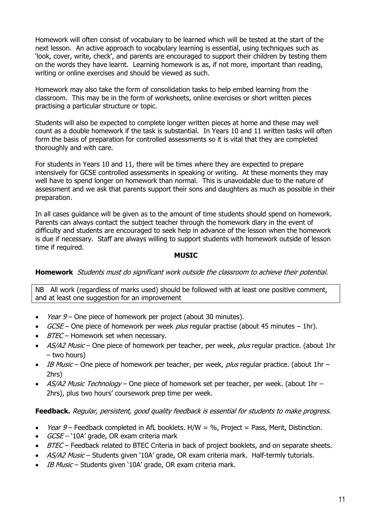Homework will often consist of vocabulary to be learned which will be tested at the start of the next lesson. An active approach to vocabulary learning is essential, using techniques such as 'look, cover, write, check', and parents are encouraged to support their children by testing them on the words they have learnt. Learning homework is as, if not more, important than reading, writing or online exercises and should be viewed as such.

Homework may also take the form of consolidation tasks to help embed learning from the classroom. This may be in the form of worksheets, online exercises or short written pieces practising a particular structure or topic.

Students will also be expected to complete longer written pieces at home and these may well count as a double homework if the task is substantial. In Years 10 and 11 written tasks will often form the basis of preparation for controlled assessments so it is vital that they are completed thoroughly and with care.

For students in Years 10 and 11, there will be times where they are expected to prepare intensively for GCSE controlled assessments in speaking or writing. At these moments they may well have to spend longer on homework than normal. This is unavoidable due to the nature of assessment and we ask that parents support their sons and daughters as much as possible in their preparation.

In all cases guidance will be given as to the amount of time students should spend on homework. Parents can always contact the subject teacher through the homework diary in the event of difficulty and students are encouraged to seek help in advance of the lesson when the homework is due if necessary. Staff are always willing to support students with homework outside of lesson time if required.

# **MUSIC**

# **Homework** Students must do significant work outside the classroom to achieve their potential.

NB All work (regardless of marks used) should be followed with at least one positive comment, and at least one suggestion for an improvement

- Year  $9-$  One piece of homework per project (about 30 minutes).
- $GCSE$  One piece of homework per week *plus* regular practise (about 45 minutes 1hr).
- $BTEC -$  Homework set when necessary.
- AS/A2 Music One piece of homework per teacher, per week, plus regular practice. (about 1hr – two hours)
- IB Music One piece of homework per teacher, per week, plus regular practice. (about 1hr 2hrs)
- AS/A2 Music Technology One piece of homework set per teacher, per week. (about 1hr 2hrs), plus two hours' coursework prep time per week.

# Feedback. Regular, persistent, good quality feedback is essential for students to make progress.

- *Year 9* Feedback completed in AfL booklets.  $H/W = %$ , Project = Pass, Merit, Distinction.
- $\bullet$  *GCSE* '10A' grade, OR exam criteria mark
- BTEC Feedback related to BTEC Criteria in back of project booklets, and on separate sheets.
- AS/A2 Music Students given '10A' grade, OR exam criteria mark. Half-termly tutorials.
- IB Music Students given '10A' grade, OR exam criteria mark.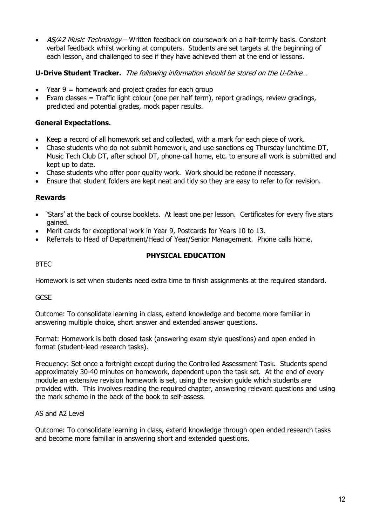• AS/A2 Music Technology – Written feedback on coursework on a half-termly basis. Constant verbal feedback whilst working at computers. Students are set targets at the beginning of each lesson, and challenged to see if they have achieved them at the end of lessons.

# **U-Drive Student Tracker.** The following information should be stored on the U-Drive…

- Year  $9 =$  homework and project grades for each group
- Exam classes = Traffic light colour (one per half term), report gradings, review gradings, predicted and potential grades, mock paper results.

# **General Expectations.**

- Keep a record of all homework set and collected, with a mark for each piece of work.
- Chase students who do not submit homework, and use sanctions eg Thursday lunchtime DT, Music Tech Club DT, after school DT, phone-call home, etc. to ensure all work is submitted and kept up to date.
- Chase students who offer poor quality work. Work should be redone if necessary.
- Ensure that student folders are kept neat and tidy so they are easy to refer to for revision.

#### **Rewards**

- 'Stars' at the back of course booklets. At least one per lesson. Certificates for every five stars gained.
- Merit cards for exceptional work in Year 9, Postcards for Years 10 to 13.
- Referrals to Head of Department/Head of Year/Senior Management. Phone calls home.

#### BTEC

# **PHYSICAL EDUCATION**

Homework is set when students need extra time to finish assignments at the required standard.

**GCSE** 

Outcome: To consolidate learning in class, extend knowledge and become more familiar in answering multiple choice, short answer and extended answer questions.

Format: Homework is both closed task (answering exam style questions) and open ended in format (student-lead research tasks).

Frequency: Set once a fortnight except during the Controlled Assessment Task. Students spend approximately 30-40 minutes on homework, dependent upon the task set. At the end of every module an extensive revision homework is set, using the revision guide which students are provided with. This involves reading the required chapter, answering relevant questions and using the mark scheme in the back of the book to self-assess.

# AS and A2 Level

Outcome: To consolidate learning in class, extend knowledge through open ended research tasks and become more familiar in answering short and extended questions.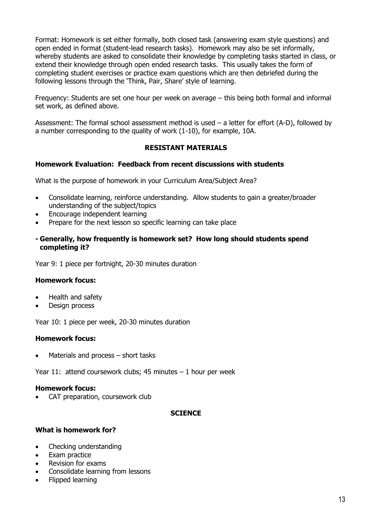Format: Homework is set either formally, both closed task (answering exam style questions) and open ended in format (student-lead research tasks). Homework may also be set informally, whereby students are asked to consolidate their knowledge by completing tasks started in class, or extend their knowledge through open ended research tasks. This usually takes the form of completing student exercises or practice exam questions which are then debriefed during the following lessons through the 'Think, Pair, Share' style of learning.

Frequency: Students are set one hour per week on average – this being both formal and informal set work, as defined above.

Assessment: The formal school assessment method is used – a letter for effort (A-D), followed by a number corresponding to the quality of work (1-10), for example, 10A.

# **RESISTANT MATERIALS**

#### **Homework Evaluation: Feedback from recent discussions with students**

What is the purpose of homework in your Curriculum Area/Subject Area?

- Consolidate learning, reinforce understanding. Allow students to gain a greater/broader understanding of the subject/topics
- Encourage independent learning
- Prepare for the next lesson so specific learning can take place

#### **- Generally, how frequently is homework set? How long should students spend completing it?**

Year 9: 1 piece per fortnight, 20-30 minutes duration

#### **Homework focus:**

- Health and safety
- Design process

Year 10: 1 piece per week, 20-30 minutes duration

#### **Homework focus:**

Materials and process  $-$  short tasks

Year 11: attend coursework clubs; 45 minutes  $-1$  hour per week

#### **Homework focus:**

• CAT preparation, coursework club

#### **SCIENCE**

#### **What is homework for?**

- Checking understanding
- Exam practice
- Revision for exams
- Consolidate learning from lessons
- Flipped learning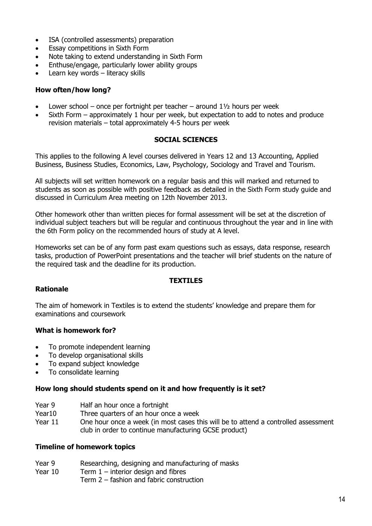- ISA (controlled assessments) preparation
- Essay competitions in Sixth Form
- Note taking to extend understanding in Sixth Form
- Enthuse/engage, particularly lower ability groups
- Learn key words literacy skills

#### **How often/how long?**

- Lower school once per fortnight per teacher around  $1\frac{1}{2}$  hours per week
- Sixth Form approximately 1 hour per week, but expectation to add to notes and produce revision materials – total approximately 4-5 hours per week

#### **SOCIAL SCIENCES**

This applies to the following A level courses delivered in Years 12 and 13 Accounting, Applied Business, Business Studies, Economics, Law, Psychology, Sociology and Travel and Tourism.

All subjects will set written homework on a regular basis and this will marked and returned to students as soon as possible with positive feedback as detailed in the Sixth Form study guide and discussed in Curriculum Area meeting on 12th November 2013.

Other homework other than written pieces for formal assessment will be set at the discretion of individual subject teachers but will be regular and continuous throughout the year and in line with the 6th Form policy on the recommended hours of study at A level.

Homeworks set can be of any form past exam questions such as essays, data response, research tasks, production of PowerPoint presentations and the teacher will brief students on the nature of the required task and the deadline for its production.

# **TEXTILES**

# **Rationale**

The aim of homework in Textiles is to extend the students' knowledge and prepare them for examinations and coursework

# **What is homework for?**

- To promote independent learning
- To develop organisational skills
- To expand subject knowledge
- To consolidate learning

#### **How long should students spend on it and how frequently is it set?**

- Year 9 Half an hour once a fortnight
- Year10 Three quarters of an hour once a week
- Year 11 One hour once a week (in most cases this will be to attend a controlled assessment club in order to continue manufacturing GCSE product)

#### **Timeline of homework topics**

- Year 9 Researching, designing and manufacturing of masks
- Year  $10$  Term  $1$  interior design and fibres
	- Term 2 fashion and fabric construction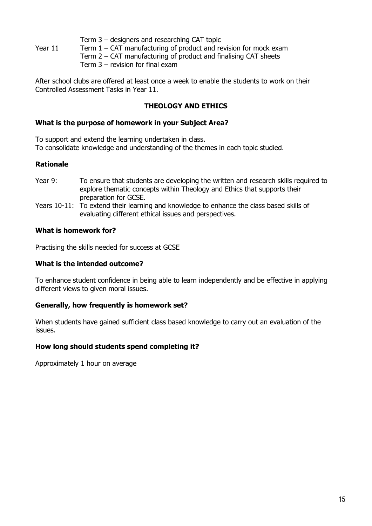Term 3 – designers and researching CAT topic

Year  $11$  Term  $1 - CAT$  manufacturing of product and revision for mock exam

 Term 2 – CAT manufacturing of product and finalising CAT sheets Term 3 – revision for final exam

After school clubs are offered at least once a week to enable the students to work on their Controlled Assessment Tasks in Year 11.

# **THEOLOGY AND ETHICS**

# **What is the purpose of homework in your Subject Area?**

To support and extend the learning undertaken in class. To consolidate knowledge and understanding of the themes in each topic studied.

# **Rationale**

- Year 9: To ensure that students are developing the written and research skills required to explore thematic concepts within Theology and Ethics that supports their preparation for GCSE.
- Years 10-11: To extend their learning and knowledge to enhance the class based skills of evaluating different ethical issues and perspectives.

# **What is homework for?**

Practising the skills needed for success at GCSE

# **What is the intended outcome?**

To enhance student confidence in being able to learn independently and be effective in applying different views to given moral issues.

# **Generally, how frequently is homework set?**

When students have gained sufficient class based knowledge to carry out an evaluation of the issues.

# **How long should students spend completing it?**

Approximately 1 hour on average